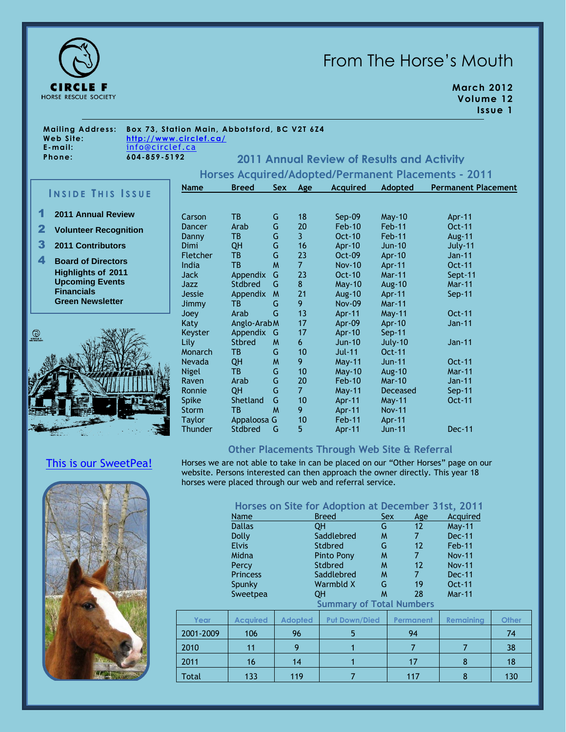

# From The Horse's Mouth

**March 2012 Volume 12 Issue 1**

**Mailing Address: Box 73, Station Main, Abbotsford, BC V2T 6Z4 Phone: 604-859-5192**

**Web Site: <http://www.circlef.ca/> E-mai l:** [info@circlef.ca](mailto:info@circlef.ca)

**2011 Annual Review of Results and Activity**

**Horses Acquired/Adopted/Permanent Placements - 2011**

## **I N S I D E T H I S I S S U E**

- 1 **2011 Annual Review**
- 2 **Volunteer Recognition**

3 **2011 Contributors**

4 **Board of Directors Highlights of 2011 Upcoming Events Financials Green Newsletter**



[This is our SweetPea!](http://www.circlef.ca/sweetpea.htm)

| <b>Name</b> | <b>Breed</b>  | Sex | Age            | <b>Acquired</b> | Adopted         | <b>Permanent Placement</b> |
|-------------|---------------|-----|----------------|-----------------|-----------------|----------------------------|
|             |               |     |                |                 |                 |                            |
| Carson      | <b>TB</b>     | G   | 18             | Sep-09          | $May-10$        | Apr-11                     |
| Dancer      | Arab          | G   | 20             | $Feb-10$        | Feb-11          | Oct-11                     |
| Danny       | <b>TB</b>     | G   | $\overline{3}$ | Oct-10          | Feb-11          | <b>Aug-11</b>              |
| Dimi        | QH            | G   | 16             | <b>Apr-10</b>   | $Jun-10$        | July-11                    |
| Fletcher    | <b>TB</b>     | G   | 23             | Oct-09          | Apr-10          | Jan-11                     |
| India       | <b>TB</b>     | W   | $\overline{7}$ | <b>Nov-10</b>   | Apr-11          | Oct-11                     |
| Jack        | Appendix      | G   | 23             | <b>Oct-10</b>   | <b>Mar-11</b>   | Sept-11                    |
| Jazz        | Stdbred       | G   | 8              | <b>May-10</b>   | Aug-10          | <b>Mar-11</b>              |
| Jessie      | Appendix      | M   | 21             | <b>Aug-10</b>   | Apr-11          | $Sep-11$                   |
| Jimmy       | TB.           | G   | 9              | <b>Nov-09</b>   | <b>Mar-11</b>   |                            |
| Joey        | Arab          | G   | 13             | Apr-11          | May-11          | Oct-11                     |
| Katy        | Anglo-Arab M  |     | 17             | Apr $-09$       | Apr-10          | Jan-11                     |
| Keyster     | Appendix      | G   | 17             | Apr-10          | $Sep-11$        |                            |
| Lily        | <b>Stbred</b> | M   | 6              | Jun-10          | July-10         | Jan-11                     |
| Monarch     | TВ            | G   | 10             | <b>Jul-11</b>   | Oct-11          |                            |
| Nevada      | QH            | W   | 9              | <b>May-11</b>   | <b>Jun-11</b>   | Oct-11                     |
| Nigel       | <b>TB</b>     | G   | 10             | $May-10$        | Aug-10          | <b>Mar-11</b>              |
| Raven       | Arab          | G   | 20             | $Feb-10$        | <b>Mar-10</b>   | Jan-11                     |
| Ronnie      | QH            | G   | $\overline{7}$ | <b>May-11</b>   | <b>Deceased</b> | $Sep-11$                   |
| Spike       | Shetland      | G   | 10             | Apr-11          | May-11          | Oct-11                     |
| Storm       | TВ            | M   | 9              | Apr-11          | <b>Nov-11</b>   |                            |
| Taylor      | Appaloosa G   |     | 10             | Feb-11          | Apr-11          |                            |
| Thunder     | Stdbred       | G   | 5              | Apr-11          | <b>Jun-11</b>   | <b>Dec-11</b>              |
|             |               |     |                |                 |                 |                            |

### **Other Placements Through Web Site & Referral**

Horses we are not able to take in can be placed on our "Other Horses" page on our website. Persons interested can then approach the owner directly. This year 18 horses were placed through our web and referral service.



**Horses on Site for Adoption at December 31st, 2011**

|           |                 |                | <b>TOTSES ON SILE TOT AGOPLION QUE DECENTIBER</b> |                   |                  |              |
|-----------|-----------------|----------------|---------------------------------------------------|-------------------|------------------|--------------|
|           | Name            |                | <b>Breed</b>                                      | Sex<br>Age        | Acquired         |              |
|           | <b>Dallas</b>   |                | G<br><b>QH</b>                                    | $12 \overline{ }$ | <b>May-11</b>    |              |
|           | <b>Dolly</b>    |                | Saddlebred<br>W                                   | 7                 | $Dec-11$         |              |
|           | <b>Elvis</b>    |                | G<br><b>Stdbred</b>                               | $12 \overline{ }$ | $Feb-11$         |              |
|           | Midna           |                | M<br>Pinto Pony                                   | 7                 | <b>Nov-11</b>    |              |
|           | Percy           |                | Stdbred<br>M                                      | 12                | <b>Nov-11</b>    |              |
|           | <b>Princess</b> |                | Saddlebred<br>M                                   | $\overline{7}$    | Dec-11           |              |
|           | Spunky          |                | Warmbld X<br>G                                    | 19                | Oct-11           |              |
|           | Sweetpea        |                | M<br><b>QH</b>                                    | 28                | <b>Mar-11</b>    |              |
|           |                 |                | <b>Summary of Total Numbers</b>                   |                   |                  |              |
| Year      | <b>Acquired</b> | <b>Adopted</b> | <b>Put Down/Died</b>                              | Permanent         | <b>Remaining</b> | <b>Other</b> |
| 2001-2009 | 106             | 96             | 5                                                 | 94                |                  | 74           |
| 2010      | 11              | 9              | 1                                                 | $\overline{7}$    | $\overline{7}$   | 38           |
| 2011      | 16              | 14             | 1                                                 | 17                | 8                | 18           |
| Total     | 133             | 119            | 7                                                 | 117               | 8                | 130          |
|           |                 |                |                                                   |                   |                  |              |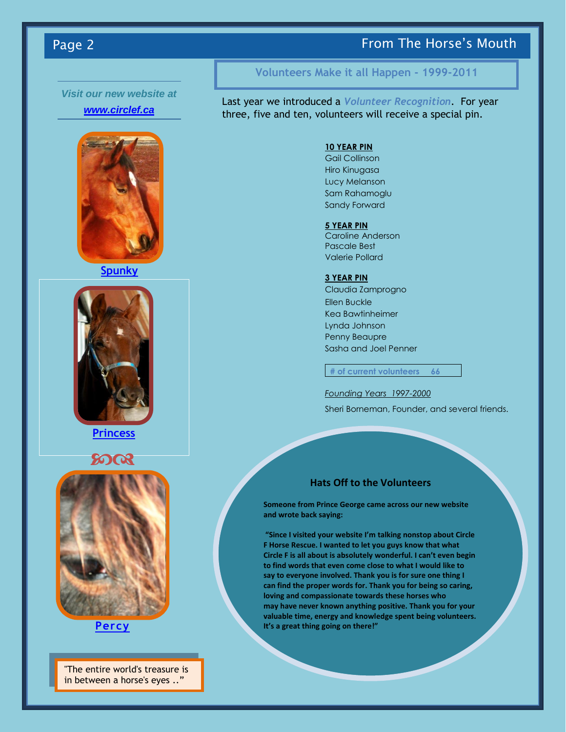### Page 2 **From The Horse's Mouth** Page 2

## *Visit our new website at*

### *[www.circlef.ca](http://www.circlef.ca/)*



**[Spunky](http://www.circlef.ca/spunky.htm)**



### **[Princess](http://www.circlef.ca/princess.htm)**





### **[Percy](http://www.circlef.ca/percy.htm)**

"The entire world's treasure is in between a horse's eyes .."

### **Volunteers Make it all Happen - 1999-2011**

Last year we introduced a *Volunteer Recognition*. For year three, five and ten, volunteers will receive a special pin.

#### **10 YEAR PIN**

Gail Collinson Hiro Kinugasa Lucy Melanson Sam Rahamoglu Sandy Forward

#### **5 YEAR PIN**

Caroline Anderson Pascale Best Valerie Pollard

#### **3 YEAR PIN**

Claudia Zamprogno Ellen Buckle Kea Bawtinheimer Lynda Johnson Penny Beaupre Sasha and Joel Penner

**# of current volunteers 66**

*Founding Years 1997-2000* Sheri Borneman, Founder, and several friends.

### **Hats Off to the Volunteers**

**Someone from Prince George came across our new website and wrote back saying:**

**"Since I visited your website I'm talking nonstop about Circle F Horse Rescue. I wanted to let you guys know that what Circle F is all about is absolutely wonderful. I can't even begin to find words that even come close to what I would like to say to everyone involved. Thank you is for sure one thing I can find the proper words for. Thank you for being so caring, loving and compassionate towards these horses who may have never known anything positive. Thank you for your valuable time, energy and knowledge spent being volunteers. It's a great thing going on there!"**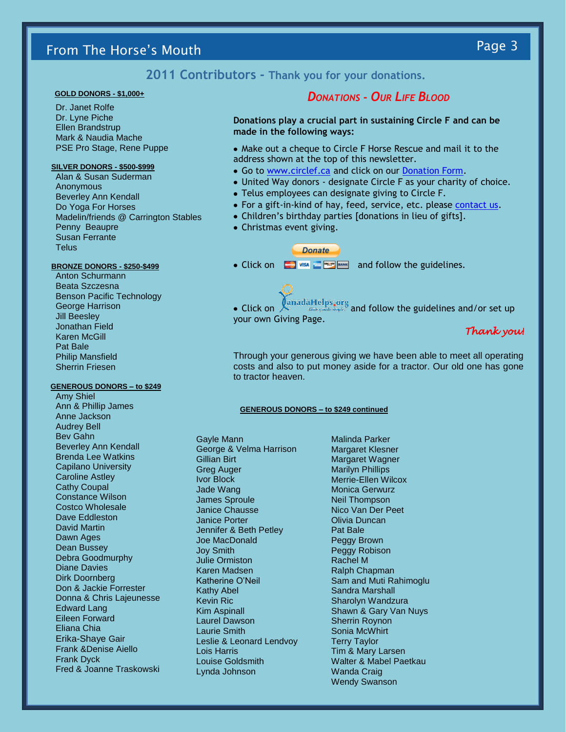# From The Horse's Mouth Page 3

**2011 Contributors - Thank you for your donations.**

#### **GOLD DONORS - \$1,000+**

Dr. Janet Rolfe Dr. Lyne Piche Ellen Brandstrup Mark & Naudia Mache PSE Pro Stage, Rene Puppe

#### **SILVER DONORS - \$500-\$999**

Alan & Susan Suderman Anonymous Beverley Ann Kendall Do Yoga For Horses Madelin/friends @ Carrington Stables Penny Beaupre Susan Ferrante **Telus** 

#### **BRONZE DONORS - \$250-\$499**

Anton Schurmann Beata Szczesna Benson Pacific Technology George Harrison Jill Beesley Jonathan Field Karen McGill Pat Bale Philip Mansfield Sherrin Friesen

#### **GENEROUS DONORS – to \$249**

Amy Shiel Ann & Phillip James Anne Jackson Audrey Bell Bev Gahn Beverley Ann Kendall Brenda Lee Watkins Capilano University Caroline Astley Cathy Coupal Constance Wilson Costco Wholesale Dave Eddleston David Martin Dawn Ages Dean Bussey Debra Goodmurphy Diane Davies Dirk Doornberg Don & Jackie Forrester Donna & Chris Lajeunesse Edward Lang Eileen Forward Eliana Chia Erika-Shaye Gair Frank &Denise Aiello Frank Dyck Fred & Joanne Traskowski

### *DONATIONS - OUR LIFE BLOOD*

**Donations play a crucial part in sustaining Circle F and can be made in the following ways:**

- Make out a cheque to Circle F Horse Rescue and mail it to the address shown at the top of this newsletter.
- Go to [www.circlef.ca](http://www.circlef.ca/) and click on our [Donation Form.](http://www.circlef.ca/Circle%20F%20Donation%20Form.pdf)
- United Way donors designate Circle F as your charity of choice.
- Telus employees can designate giving to Circle F.
- For a gift-in-kind of hay, feed, service, etc. please [contact us.](mailto:info@circlef.ca)
- Children's birthday parties [donations in lieu of gifts].
- Christmas event giving.

#### **Donate**

• Click on  $\Box$  VISA  $\Box$  MANK and follow the guidelines.

• Click on  $\int_{\text{Cubic model of a model of a model}} 0$  and follow the guidelines and/or set up your own Giving Page.

### *Thank you!*

Through your generous giving we have been able to meet all operating costs and also to put money aside for a tractor. Our old one has gone to tractor heaven.

#### **GENEROUS DONORS – to \$249 continued**

Gayle Mann George & Velma Harrison Gillian Birt Greg Auger Ivor Block Jade Wang James Sproule Janice Chausse Janice Porter Jennifer & Beth Petley Joe MacDonald Joy Smith Julie Ormiston Karen Madsen Katherine O'Neil Kathy Abel Kevin Ric Kim Aspinall Laurel Dawson Laurie Smith Leslie & Leonard Lendvoy Lois Harris Louise Goldsmith Lynda Johnson

Malinda Parker Margaret Klesner Margaret Wagner Marilyn Phillips Merrie-Ellen Wilcox Monica Gerwurz Neil Thompson Nico Van Der Peet Olivia Duncan Pat Bale Peggy Brown Peggy Robison Rachel M Ralph Chapman Sam and Muti Rahimoglu Sandra Marshall Sharolyn Wandzura Shawn & Gary Van Nuys Sherrin Roynon Sonia McWhirt Terry Taylor Tim & Mary Larsen Walter & Mabel Paetkau Wanda Craig Wendy Swanson